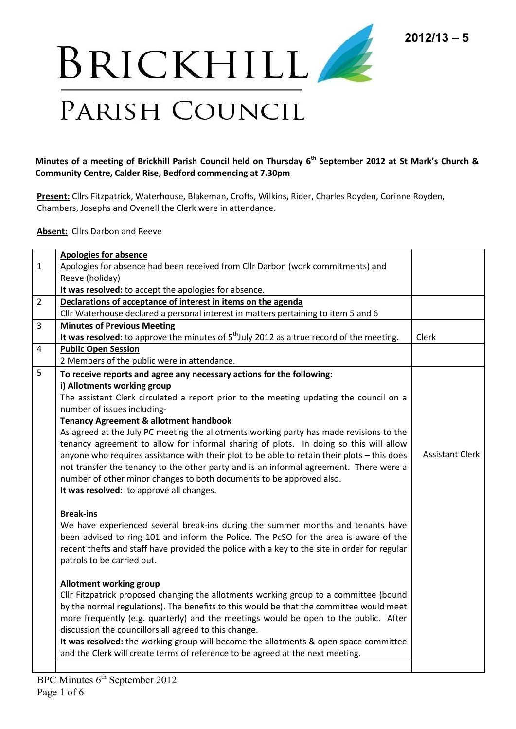

## **Minutes of a meeting of Brickhill Parish Council held on Thursday 6th September 2012 at St Mark's Church & Community Centre, Calder Rise, Bedford commencing at 7.30pm**

**Present:** Cllrs Fitzpatrick, Waterhouse, Blakeman, Crofts, Wilkins, Rider, Charles Royden, Corinne Royden, Chambers, Josephs and Ovenell the Clerk were in attendance.

**Absent:** Cllrs Darbon and Reeve

|                | <b>Apologies for absence</b>                                                                 |                        |
|----------------|----------------------------------------------------------------------------------------------|------------------------|
| $\mathbf{1}$   | Apologies for absence had been received from Cllr Darbon (work commitments) and              |                        |
|                | Reeve (holiday)                                                                              |                        |
|                | It was resolved: to accept the apologies for absence.                                        |                        |
| $\overline{2}$ | Declarations of acceptance of interest in items on the agenda                                |                        |
|                | Cllr Waterhouse declared a personal interest in matters pertaining to item 5 and 6           |                        |
| 3              | <b>Minutes of Previous Meeting</b>                                                           |                        |
|                | It was resolved: to approve the minutes of $5th$ July 2012 as a true record of the meeting.  | Clerk                  |
| 4              | <b>Public Open Session</b>                                                                   |                        |
|                | 2 Members of the public were in attendance.                                                  |                        |
| 5              | To receive reports and agree any necessary actions for the following:                        |                        |
|                | i) Allotments working group                                                                  |                        |
|                | The assistant Clerk circulated a report prior to the meeting updating the council on a       |                        |
|                | number of issues including-                                                                  |                        |
|                | <b>Tenancy Agreement &amp; allotment handbook</b>                                            |                        |
|                | As agreed at the July PC meeting the allotments working party has made revisions to the      |                        |
|                | tenancy agreement to allow for informal sharing of plots. In doing so this will allow        |                        |
|                | anyone who requires assistance with their plot to be able to retain their plots - this does  | <b>Assistant Clerk</b> |
|                | not transfer the tenancy to the other party and is an informal agreement. There were a       |                        |
|                | number of other minor changes to both documents to be approved also.                         |                        |
|                | It was resolved: to approve all changes.                                                     |                        |
|                | <b>Break-ins</b>                                                                             |                        |
|                | We have experienced several break-ins during the summer months and tenants have              |                        |
|                | been advised to ring 101 and inform the Police. The PcSO for the area is aware of the        |                        |
|                | recent thefts and staff have provided the police with a key to the site in order for regular |                        |
|                | patrols to be carried out.                                                                   |                        |
|                |                                                                                              |                        |
|                | <b>Allotment working group</b>                                                               |                        |
|                | Cllr Fitzpatrick proposed changing the allotments working group to a committee (bound        |                        |
|                | by the normal regulations). The benefits to this would be that the committee would meet      |                        |
|                | more frequently (e.g. quarterly) and the meetings would be open to the public. After         |                        |
|                | discussion the councillors all agreed to this change.                                        |                        |
|                | It was resolved: the working group will become the allotments & open space committee         |                        |
|                | and the Clerk will create terms of reference to be agreed at the next meeting.               |                        |
|                |                                                                                              |                        |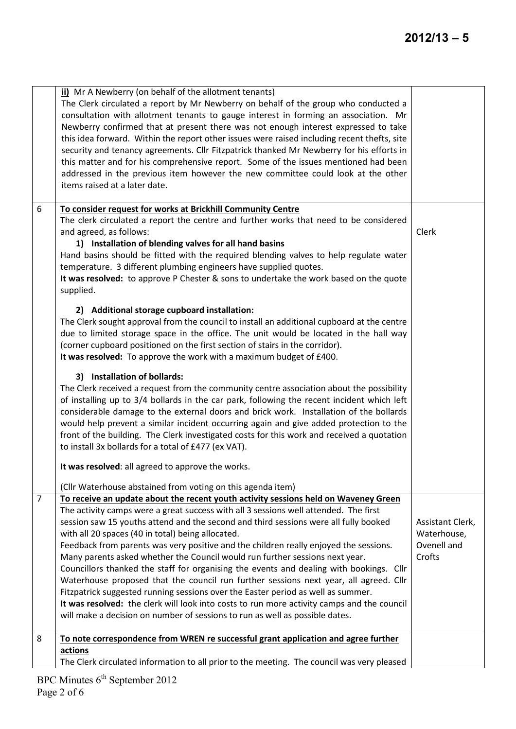|                | ii) Mr A Newberry (on behalf of the allotment tenants)<br>The Clerk circulated a report by Mr Newberry on behalf of the group who conducted a<br>consultation with allotment tenants to gauge interest in forming an association. Mr<br>Newberry confirmed that at present there was not enough interest expressed to take<br>this idea forward. Within the report other issues were raised including recent thefts, site<br>security and tenancy agreements. Cllr Fitzpatrick thanked Mr Newberry for his efforts in<br>this matter and for his comprehensive report. Some of the issues mentioned had been<br>addressed in the previous item however the new committee could look at the other<br>items raised at a later date.                                                                                                                                                                                                                       |                                                          |
|----------------|---------------------------------------------------------------------------------------------------------------------------------------------------------------------------------------------------------------------------------------------------------------------------------------------------------------------------------------------------------------------------------------------------------------------------------------------------------------------------------------------------------------------------------------------------------------------------------------------------------------------------------------------------------------------------------------------------------------------------------------------------------------------------------------------------------------------------------------------------------------------------------------------------------------------------------------------------------|----------------------------------------------------------|
| 6              | To consider request for works at Brickhill Community Centre<br>The clerk circulated a report the centre and further works that need to be considered<br>and agreed, as follows:<br>1) Installation of blending valves for all hand basins<br>Hand basins should be fitted with the required blending valves to help regulate water<br>temperature. 3 different plumbing engineers have supplied quotes.<br>It was resolved: to approve P Chester & sons to undertake the work based on the quote<br>supplied.<br>2) Additional storage cupboard installation:<br>The Clerk sought approval from the council to install an additional cupboard at the centre<br>due to limited storage space in the office. The unit would be located in the hall way                                                                                                                                                                                                    | Clerk                                                    |
|                | (corner cupboard positioned on the first section of stairs in the corridor).<br>It was resolved: To approve the work with a maximum budget of £400.<br>3) Installation of bollards:<br>The Clerk received a request from the community centre association about the possibility<br>of installing up to 3/4 bollards in the car park, following the recent incident which left<br>considerable damage to the external doors and brick work. Installation of the bollards<br>would help prevent a similar incident occurring again and give added protection to the<br>front of the building. The Clerk investigated costs for this work and received a quotation<br>to install 3x bollards for a total of £477 (ex VAT).<br>It was resolved: all agreed to approve the works.<br>(Cllr Waterhouse abstained from voting on this agenda item)                                                                                                             |                                                          |
| $\overline{7}$ | To receive an update about the recent youth activity sessions held on Waveney Green<br>The activity camps were a great success with all 3 sessions well attended. The first<br>session saw 15 youths attend and the second and third sessions were all fully booked<br>with all 20 spaces (40 in total) being allocated.<br>Feedback from parents was very positive and the children really enjoyed the sessions.<br>Many parents asked whether the Council would run further sessions next year.<br>Councillors thanked the staff for organising the events and dealing with bookings. Cllr<br>Waterhouse proposed that the council run further sessions next year, all agreed. Cllr<br>Fitzpatrick suggested running sessions over the Easter period as well as summer.<br>It was resolved: the clerk will look into costs to run more activity camps and the council<br>will make a decision on number of sessions to run as well as possible dates. | Assistant Clerk,<br>Waterhouse,<br>Ovenell and<br>Crofts |
| 8              | To note correspondence from WREN re successful grant application and agree further<br>actions<br>The Clerk circulated information to all prior to the meeting. The council was very pleased                                                                                                                                                                                                                                                                                                                                                                                                                                                                                                                                                                                                                                                                                                                                                             |                                                          |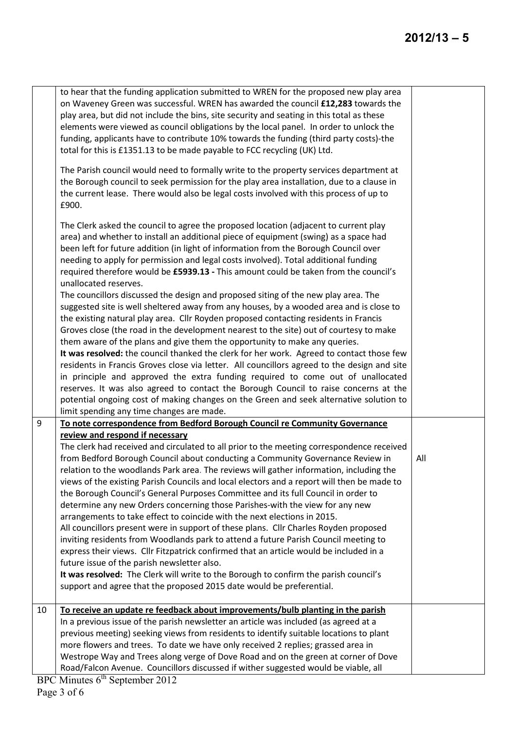|    | to hear that the funding application submitted to WREN for the proposed new play area<br>on Waveney Green was successful. WREN has awarded the council £12,283 towards the<br>play area, but did not include the bins, site security and seating in this total as these<br>elements were viewed as council obligations by the local panel. In order to unlock the<br>funding, applicants have to contribute 10% towards the funding (third party costs)-the<br>total for this is £1351.13 to be made payable to FCC recycling (UK) Ltd. |     |
|----|-----------------------------------------------------------------------------------------------------------------------------------------------------------------------------------------------------------------------------------------------------------------------------------------------------------------------------------------------------------------------------------------------------------------------------------------------------------------------------------------------------------------------------------------|-----|
|    | The Parish council would need to formally write to the property services department at<br>the Borough council to seek permission for the play area installation, due to a clause in<br>the current lease. There would also be legal costs involved with this process of up to<br>£900.                                                                                                                                                                                                                                                  |     |
|    | The Clerk asked the council to agree the proposed location (adjacent to current play<br>area) and whether to install an additional piece of equipment (swing) as a space had<br>been left for future addition (in light of information from the Borough Council over<br>needing to apply for permission and legal costs involved). Total additional funding<br>required therefore would be £5939.13 - This amount could be taken from the council's<br>unallocated reserves.                                                            |     |
|    | The councillors discussed the design and proposed siting of the new play area. The<br>suggested site is well sheltered away from any houses, by a wooded area and is close to<br>the existing natural play area. Cllr Royden proposed contacting residents in Francis<br>Groves close (the road in the development nearest to the site) out of courtesy to make<br>them aware of the plans and give them the opportunity to make any queries.                                                                                           |     |
|    | It was resolved: the council thanked the clerk for her work. Agreed to contact those few<br>residents in Francis Groves close via letter. All councillors agreed to the design and site<br>in principle and approved the extra funding required to come out of unallocated<br>reserves. It was also agreed to contact the Borough Council to raise concerns at the                                                                                                                                                                      |     |
|    | potential ongoing cost of making changes on the Green and seek alternative solution to<br>limit spending any time changes are made.                                                                                                                                                                                                                                                                                                                                                                                                     |     |
| 9  | To note correspondence from Bedford Borough Council re Community Governance                                                                                                                                                                                                                                                                                                                                                                                                                                                             |     |
|    | review and respond if necessary<br>The clerk had received and circulated to all prior to the meeting correspondence received<br>from Bedford Borough Council about conducting a Community Governance Review in                                                                                                                                                                                                                                                                                                                          | All |
|    | relation to the woodlands Park area. The reviews will gather information, including the<br>views of the existing Parish Councils and local electors and a report will then be made to<br>the Borough Council's General Purposes Committee and its full Council in order to<br>determine any new Orders concerning those Parishes-with the view for any new                                                                                                                                                                              |     |
|    | arrangements to take effect to coincide with the next elections in 2015.<br>All councillors present were in support of these plans. Cllr Charles Royden proposed<br>inviting residents from Woodlands park to attend a future Parish Council meeting to<br>express their views. Cllr Fitzpatrick confirmed that an article would be included in a<br>future issue of the parish newsletter also.                                                                                                                                        |     |
|    | It was resolved: The Clerk will write to the Borough to confirm the parish council's<br>support and agree that the proposed 2015 date would be preferential.                                                                                                                                                                                                                                                                                                                                                                            |     |
| 10 | To receive an update re feedback about improvements/bulb planting in the parish<br>In a previous issue of the parish newsletter an article was included (as agreed at a<br>previous meeting) seeking views from residents to identify suitable locations to plant<br>more flowers and trees. To date we have only received 2 replies; grassed area in<br>Westrope Way and Trees along verge of Dove Road and on the green at corner of Dove<br>Road/Falcon Avenue. Councillors discussed if wither suggested would be viable, all       |     |
|    |                                                                                                                                                                                                                                                                                                                                                                                                                                                                                                                                         |     |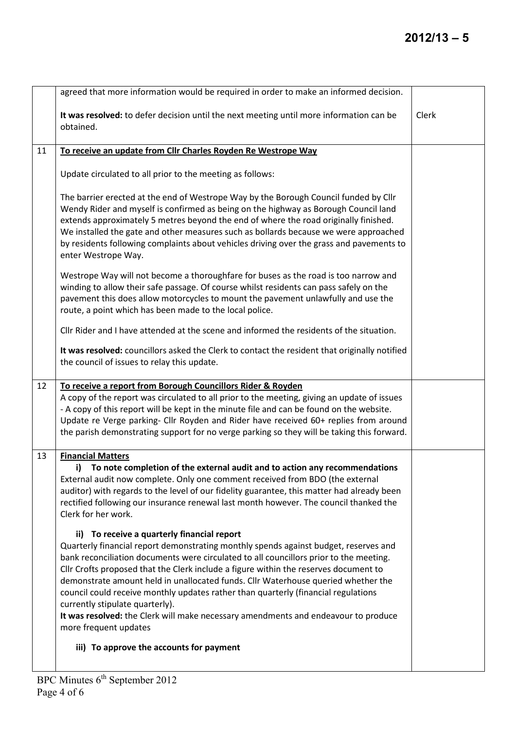|    | agreed that more information would be required in order to make an informed decision.                                                                                                                                                                                                                                                                                                                                                                                                                                                                                                                                                              |       |
|----|----------------------------------------------------------------------------------------------------------------------------------------------------------------------------------------------------------------------------------------------------------------------------------------------------------------------------------------------------------------------------------------------------------------------------------------------------------------------------------------------------------------------------------------------------------------------------------------------------------------------------------------------------|-------|
|    | It was resolved: to defer decision until the next meeting until more information can be<br>obtained.                                                                                                                                                                                                                                                                                                                                                                                                                                                                                                                                               | Clerk |
| 11 | To receive an update from Cllr Charles Royden Re Westrope Way                                                                                                                                                                                                                                                                                                                                                                                                                                                                                                                                                                                      |       |
|    | Update circulated to all prior to the meeting as follows:                                                                                                                                                                                                                                                                                                                                                                                                                                                                                                                                                                                          |       |
|    | The barrier erected at the end of Westrope Way by the Borough Council funded by Cllr<br>Wendy Rider and myself is confirmed as being on the highway as Borough Council land<br>extends approximately 5 metres beyond the end of where the road originally finished.<br>We installed the gate and other measures such as bollards because we were approached<br>by residents following complaints about vehicles driving over the grass and pavements to<br>enter Westrope Way.                                                                                                                                                                     |       |
|    | Westrope Way will not become a thoroughfare for buses as the road is too narrow and<br>winding to allow their safe passage. Of course whilst residents can pass safely on the<br>pavement this does allow motorcycles to mount the pavement unlawfully and use the<br>route, a point which has been made to the local police.                                                                                                                                                                                                                                                                                                                      |       |
|    | Cllr Rider and I have attended at the scene and informed the residents of the situation.                                                                                                                                                                                                                                                                                                                                                                                                                                                                                                                                                           |       |
|    | It was resolved: councillors asked the Clerk to contact the resident that originally notified<br>the council of issues to relay this update.                                                                                                                                                                                                                                                                                                                                                                                                                                                                                                       |       |
| 12 | To receive a report from Borough Councillors Rider & Royden                                                                                                                                                                                                                                                                                                                                                                                                                                                                                                                                                                                        |       |
|    | A copy of the report was circulated to all prior to the meeting, giving an update of issues<br>- A copy of this report will be kept in the minute file and can be found on the website.<br>Update re Verge parking- Cllr Royden and Rider have received 60+ replies from around<br>the parish demonstrating support for no verge parking so they will be taking this forward.                                                                                                                                                                                                                                                                      |       |
| 13 | <b>Financial Matters</b>                                                                                                                                                                                                                                                                                                                                                                                                                                                                                                                                                                                                                           |       |
|    | To note completion of the external audit and to action any recommendations<br>i)<br>External audit now complete. Only one comment received from BDO (the external<br>auditor) with regards to the level of our fidelity guarantee, this matter had already been<br>rectified following our insurance renewal last month however. The council thanked the<br>Clerk for her work.                                                                                                                                                                                                                                                                    |       |
|    | ii) To receive a quarterly financial report<br>Quarterly financial report demonstrating monthly spends against budget, reserves and<br>bank reconciliation documents were circulated to all councillors prior to the meeting.<br>Cllr Crofts proposed that the Clerk include a figure within the reserves document to<br>demonstrate amount held in unallocated funds. Cllr Waterhouse queried whether the<br>council could receive monthly updates rather than quarterly (financial regulations<br>currently stipulate quarterly).<br>It was resolved: the Clerk will make necessary amendments and endeavour to produce<br>more frequent updates |       |
|    | iii) To approve the accounts for payment                                                                                                                                                                                                                                                                                                                                                                                                                                                                                                                                                                                                           |       |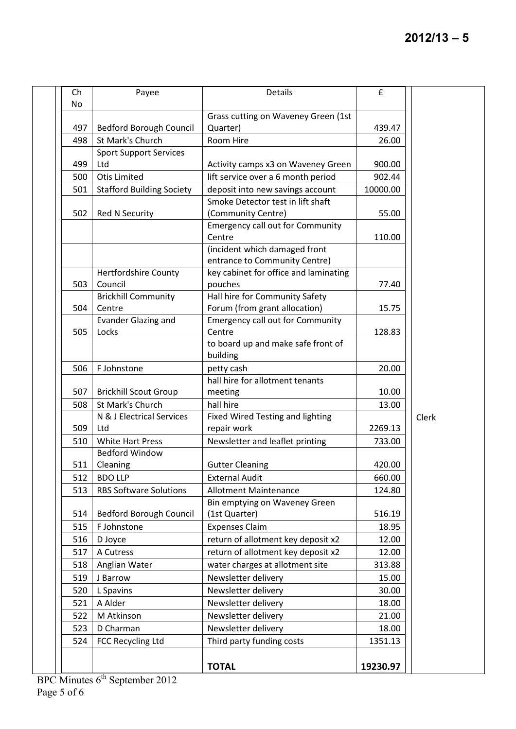| Ch  | Payee                                | Details                                   | £        |       |
|-----|--------------------------------------|-------------------------------------------|----------|-------|
| No  |                                      |                                           |          |       |
|     |                                      | Grass cutting on Waveney Green (1st       |          |       |
| 497 | Bedford Borough Council              | Quarter)                                  | 439.47   |       |
| 498 | St Mark's Church                     | Room Hire                                 | 26.00    |       |
|     | <b>Sport Support Services</b>        |                                           |          |       |
| 499 | Ltd                                  | Activity camps x3 on Waveney Green        | 900.00   |       |
| 500 | <b>Otis Limited</b>                  | lift service over a 6 month period        | 902.44   |       |
| 501 | <b>Stafford Building Society</b>     | deposit into new savings account          | 10000.00 |       |
|     |                                      | Smoke Detector test in lift shaft         |          |       |
| 502 | <b>Red N Security</b>                | (Community Centre)                        | 55.00    |       |
|     |                                      | <b>Emergency call out for Community</b>   |          |       |
|     |                                      | Centre                                    | 110.00   |       |
|     |                                      | (incident which damaged front             |          |       |
|     |                                      | entrance to Community Centre)             |          |       |
|     | <b>Hertfordshire County</b>          | key cabinet for office and laminating     |          |       |
| 503 | Council                              | pouches<br>Hall hire for Community Safety | 77.40    |       |
| 504 | <b>Brickhill Community</b><br>Centre | Forum (from grant allocation)             | 15.75    |       |
|     | <b>Evander Glazing and</b>           | <b>Emergency call out for Community</b>   |          |       |
| 505 | Locks                                | Centre                                    | 128.83   |       |
|     |                                      | to board up and make safe front of        |          |       |
|     |                                      | building                                  |          |       |
| 506 | F Johnstone                          | petty cash                                | 20.00    |       |
|     |                                      | hall hire for allotment tenants           |          |       |
| 507 | <b>Brickhill Scout Group</b>         | meeting                                   | 10.00    |       |
| 508 | St Mark's Church                     | hall hire                                 | 13.00    |       |
|     | N & J Electrical Services            | <b>Fixed Wired Testing and lighting</b>   |          | Clerk |
| 509 | Ltd                                  | repair work                               | 2269.13  |       |
| 510 | <b>White Hart Press</b>              | Newsletter and leaflet printing           | 733.00   |       |
|     | <b>Bedford Window</b>                |                                           |          |       |
| 511 | Cleaning                             | <b>Gutter Cleaning</b>                    | 420.00   |       |
| 512 | <b>BDO LLP</b>                       | <b>External Audit</b>                     | 660.00   |       |
| 513 | <b>RBS Software Solutions</b>        | <b>Allotment Maintenance</b>              | 124.80   |       |
|     |                                      | Bin emptying on Waveney Green             |          |       |
| 514 | Bedford Borough Council              | (1st Quarter)                             | 516.19   |       |
| 515 | F Johnstone                          | <b>Expenses Claim</b>                     | 18.95    |       |
| 516 | D Joyce                              | return of allotment key deposit x2        | 12.00    |       |
| 517 | A Cutress                            | return of allotment key deposit x2        | 12.00    |       |
| 518 | Anglian Water                        | water charges at allotment site           | 313.88   |       |
| 519 | J Barrow                             | Newsletter delivery                       | 15.00    |       |
| 520 | L Spavins                            | Newsletter delivery                       | 30.00    |       |
| 521 | A Alder                              | Newsletter delivery                       | 18.00    |       |
| 522 | M Atkinson                           | Newsletter delivery                       | 21.00    |       |
| 523 | D Charman                            | Newsletter delivery                       | 18.00    |       |
| 524 | FCC Recycling Ltd                    | Third party funding costs                 | 1351.13  |       |
|     |                                      |                                           |          |       |
|     |                                      |                                           |          |       |